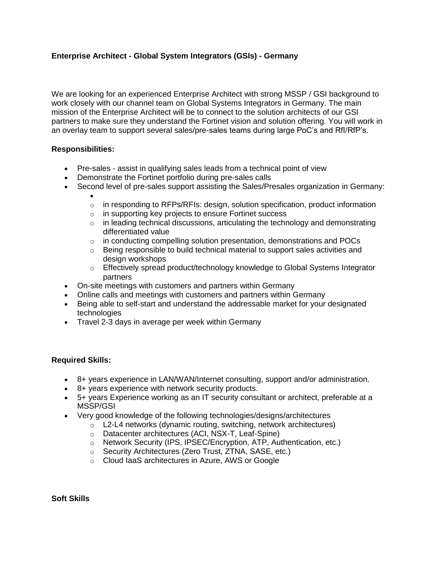## **Enterprise Architect - Global System Integrators (GSIs) - Germany**

We are looking for an experienced Enterprise Architect with strong MSSP / GSI background to work closely with our channel team on Global Systems Integrators in Germany. The main mission of the Enterprise Architect will be to connect to the solution architects of our GSI partners to make sure they understand the Fortinet vision and solution offering. You will work in an overlay team to support several sales/pre-sales teams during large PoC's and RfI/RfP's.

## **Responsibilities:**

- Pre-sales assist in qualifying sales leads from a technical point of view
- Demonstrate the Fortinet portfolio during pre-sales calls
- Second level of pre-sales support assisting the Sales/Presales organization in Germany:
	- $\bullet$  $\circ$  in responding to RFPs/RFIs: design, solution specification, product information
	- o in supporting key projects to ensure Fortinet success
	- $\circ$  in leading technical discussions, articulating the technology and demonstrating differentiated value
	- $\circ$  in conducting compelling solution presentation, demonstrations and POCs
	- $\circ$  Being responsible to build technical material to support sales activities and design workshops
	- $\circ$  Effectively spread product/technology knowledge to Global Systems Integrator partners
- On-site meetings with customers and partners within Germany
- Online calls and meetings with customers and partners within Germany
- Being able to self-start and understand the addressable market for your designated technologies
- Travel 2-3 days in average per week within Germany

## **Required Skills:**

- 8+ years experience in LAN/WAN/Internet consulting, support and/or administration.
- 8+ years experience with network security products.
- 5+ years Experience working as an IT security consultant or architect, preferable at a MSSP/GSI
- Very good knowledge of the following technologies/designs/architectures
	- $\circ$  L2-L4 networks (dynamic routing, switching, network architectures)
		- o Datacenter architectures (ACI, NSX-T, Leaf-Spine)
	- o Network Security (IPS, IPSEC/Encryption, ATP, Authentication, etc.)
	- o Security Architectures (Zero Trust, ZTNA, SASE, etc.)
	- o Cloud IaaS architectures in Azure, AWS or Google

**Soft Skills**